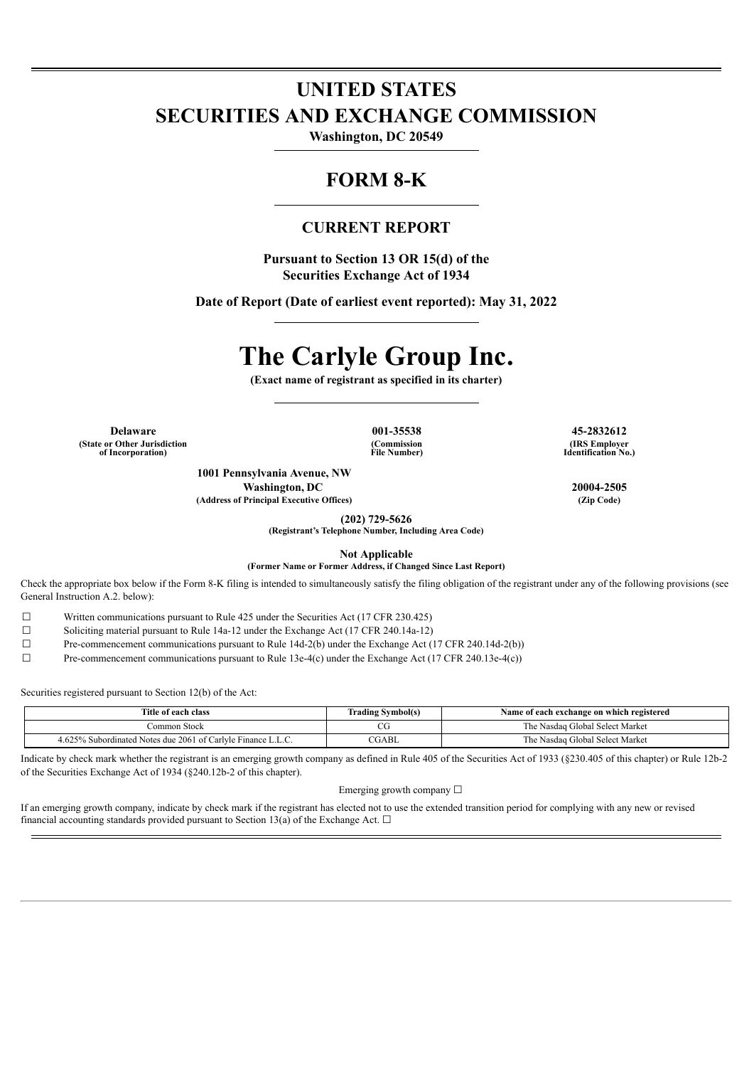## **UNITED STATES SECURITIES AND EXCHANGE COMMISSION**

**Washington, DC 20549**

### **FORM 8-K**

### **CURRENT REPORT**

**Pursuant to Section 13 OR 15(d) of the Securities Exchange Act of 1934**

**Date of Report (Date of earliest event reported): May 31, 2022**

# **The Carlyle Group Inc.**

**(Exact name of registrant as specified in its charter)**

**Delaware 001-35538 45-2832612 (State or Other Jurisdiction of Incorporation)**

**(Commission File Number)**

**(IRS Employer Identification No.)**

**1001 Pennsylvania Avenue, NW Washington, DC 20004-2505 (Address of Principal Executive Offices) (Zip Code)**

**(202) 729-5626 (Registrant's Telephone Number, Including Area Code)**

**Not Applicable**

**(Former Name or Former Address, if Changed Since Last Report)**

Check the appropriate box below if the Form 8-K filing is intended to simultaneously satisfy the filing obligation of the registrant under any of the following provisions (see General Instruction A.2. below):

 $\Box$  Written communications pursuant to Rule 425 under the Securities Act (17 CFR 230.425)<br>Soliciting material pursuant to Rule 14a-12 under the Exchange Act (17 CFR 240.14a-12)

Soliciting material pursuant to Rule 14a-12 under the Exchange Act (17 CFR 240.14a-12)

☐ Pre-commencement communications pursuant to Rule 14d-2(b) under the Exchange Act (17 CFR 240.14d-2(b))

☐ Pre-commencement communications pursuant to Rule 13e-4(c) under the Exchange Act (17 CFR 240.13e-4(c))

Securities registered pursuant to Section 12(b) of the Act:

| Title of each class                                               | <b>Trading Symbol(s)</b> | Name of each exchange on which registered |
|-------------------------------------------------------------------|--------------------------|-------------------------------------------|
| Common Stock                                                      | הי<br>ĊÜ                 | The Nasdag Global Select Market           |
| 6 Subordinated Notes due 2061 of Carlyle Finance L.L.C.<br>4.625% | CGABL                    | The Nasdag Global Select Market           |

Indicate by check mark whether the registrant is an emerging growth company as defined in Rule 405 of the Securities Act of 1933 (§230.405 of this chapter) or Rule 12b-2 of the Securities Exchange Act of 1934 (§240.12b-2 of this chapter).

Emerging growth company  $\Box$ 

If an emerging growth company, indicate by check mark if the registrant has elected not to use the extended transition period for complying with any new or revised financial accounting standards provided pursuant to Section 13(a) of the Exchange Act.  $\Box$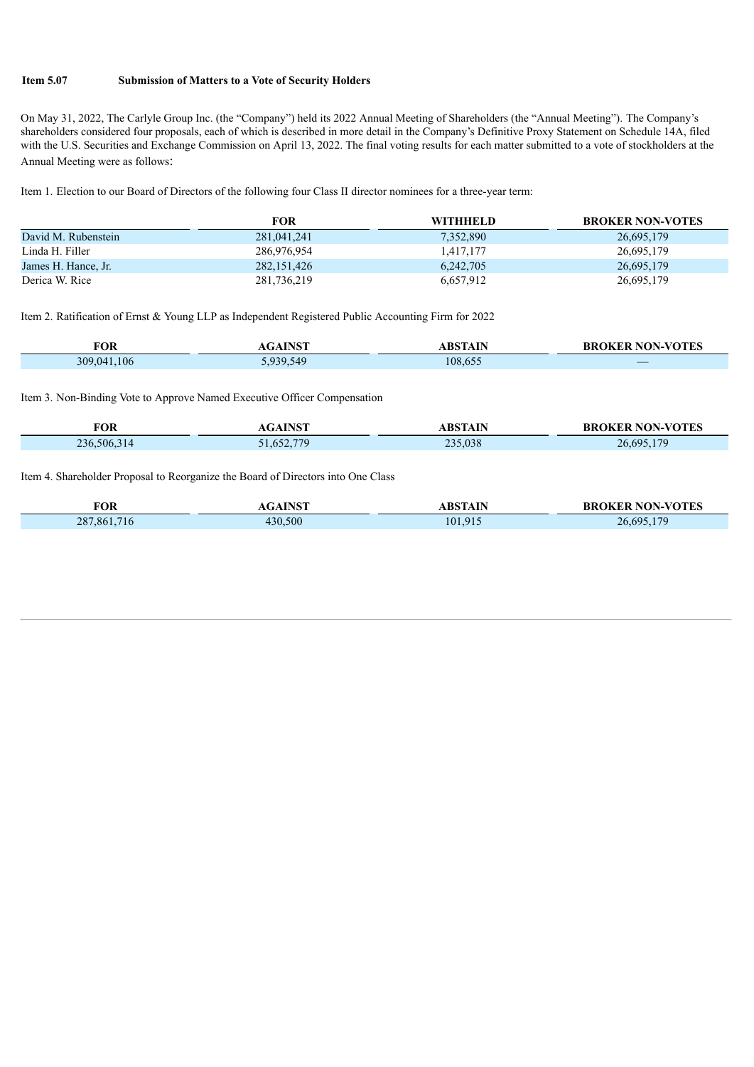#### **Item 5.07 Submission of Matters to a Vote of Security Holders**

On May 31, 2022, The Carlyle Group Inc. (the "Company") held its 2022 Annual Meeting of Shareholders (the "Annual Meeting"). The Company's shareholders considered four proposals, each of which is described in more detail in the Company's Definitive Proxy Statement on Schedule 14A, filed with the U.S. Securities and Exchange Commission on April 13, 2022. The final voting results for each matter submitted to a vote of stockholders at the Annual Meeting were as follows:

Item 1. Election to our Board of Directors of the following four Class II director nominees for a three-year term:

|                     | <b>FOR</b>    | WITHHELD  | <b>BROKER NON-VOTES</b> |
|---------------------|---------------|-----------|-------------------------|
| David M. Rubenstein | 281,041,241   | 7,352,890 | 26,695,179              |
| Linda H. Filler     | 286,976,954   | 1.417.177 | 26,695,179              |
| James H. Hance, Jr. | 282, 151, 426 | 6,242,705 | 26,695,179              |
| Derica W. Rice      | 281,736,219   | 6,657,912 | 26,695,179              |

Item 2. Ratification of Ernst & Young LLP as Independent Registered Public Accounting Firm for 2022

| FOR         | <b>GAINST</b> | ABSTAIN | <b>BROKER NON-VOTES</b>                            |
|-------------|---------------|---------|----------------------------------------------------|
| 309,041,106 | 939 549       | 108,655 | $\overline{\phantom{a}}$<br><b>Service Service</b> |

Item 3. Non-Binding Vote to Approve Named Executive Officer Compensation

| <b>FOR</b>      | <b>TMOT</b>    | <b>RSTAIN</b> | <b>KER NON-VOTES</b><br><b>BROKER</b> |
|-----------------|----------------|---------------|---------------------------------------|
| 236,506,<br>14، | 52.779<br>.652 | 235,038       | 26 695 179                            |

Item 4. Shareholder Proposal to Reorganize the Board of Directors into One Class

|             | <b>INICT</b> |                | <b>BROKER NON-VOTES</b> |
|-------------|--------------|----------------|-------------------------|
| FOR         | . דור        | <b>ABSTALE</b> |                         |
|             |              |                |                         |
| 287,861,716 | 430,500      | 101,915        | 26 695 179              |